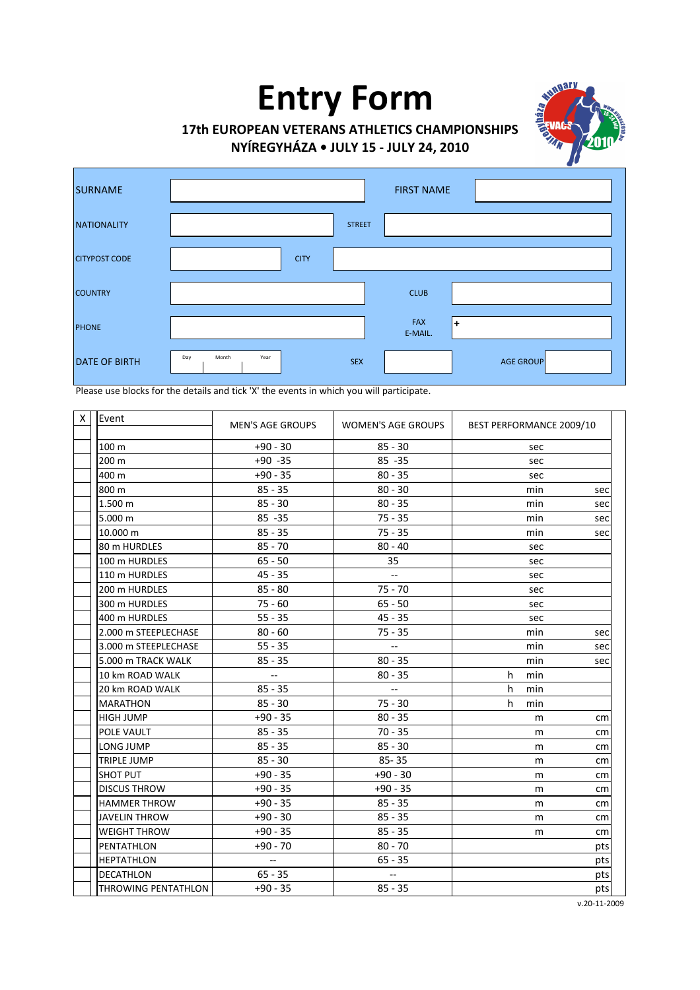# **Entry Form**



# **17th EUROPEAN VETERANS ATHLETICS CHAMPIONSHIPS**

**NYÍREGYHÁZA • JULY 15 - JULY 24, 2010**

| <b>SURNAME</b>       | <b>FIRST NAME</b>                                      |
|----------------------|--------------------------------------------------------|
| <b>NATIONALITY</b>   | <b>STREET</b>                                          |
| <b>CITYPOST CODE</b> | <b>CITY</b>                                            |
| <b>COUNTRY</b>       | <b>CLUB</b>                                            |
| <b>PHONE</b>         | FAX<br>$\ddot{}$<br>E-MAIL.                            |
| <b>DATE OF BIRTH</b> | Day<br>Month<br>Year<br><b>SEX</b><br><b>AGE GROUP</b> |

**Please use blocks for the details and tick 'X' the events in which you will participate.** 

| Event                | <b>MEN'S AGE GROUPS</b>                       | <b>WOMEN'S AGE GROUPS</b> | BEST PERFORMANCE 2009/10 |     |
|----------------------|-----------------------------------------------|---------------------------|--------------------------|-----|
| 100 m                | $+90 - 30$                                    | $85 - 30$                 | sec                      |     |
| 200 m                | $+90 -35$                                     | $85 - 35$                 | sec                      |     |
| 400 m                | $+90 - 35$                                    | $80 - 35$                 | sec                      |     |
| 800 m                | $85 - 35$                                     | $80 - 30$                 | min                      | sec |
| 1.500 m              | $85 - 30$                                     | $80 - 35$                 | min                      | sec |
| 5.000 m              | $85 - 35$                                     | $75 - 35$                 | min                      | sec |
| 10.000 m             | $85 - 35$                                     | $75 - 35$                 | min                      | sec |
| 80 m HURDLES         | $85 - 70$                                     | $80 - 40$                 | sec                      |     |
| 100 m HURDLES        | $65 - 50$                                     | 35                        | sec                      |     |
| 110 m HURDLES        | $45 - 35$                                     |                           | sec                      |     |
| 200 m HURDLES        | $85 - 80$                                     | $75 - 70$                 | sec                      |     |
| 300 m HURDLES        | $75 - 60$                                     | $65 - 50$                 | sec                      |     |
| 400 m HURDLES        | $55 - 35$                                     | $45 - 35$                 | sec                      |     |
| 2.000 m STEEPLECHASE | $80 - 60$                                     | $75 - 35$                 | min                      | sec |
| 3.000 m STEEPLECHASE | $55 - 35$                                     | $\overline{\phantom{a}}$  | min                      | sec |
| 5.000 m TRACK WALK   | $85 - 35$                                     | $80 - 35$                 | min                      | sec |
| 10 km ROAD WALK      | $\overline{\phantom{a}}$                      | $80 - 35$                 | h<br>min                 |     |
| 20 km ROAD WALK      | $85 - 35$                                     | $\overline{\phantom{a}}$  | h<br>min                 |     |
| <b>MARATHON</b>      | $85 - 30$                                     | $75 - 30$                 | h<br>min                 |     |
| <b>HIGH JUMP</b>     | $+90 - 35$                                    | $80 - 35$                 | m                        | cm  |
| POLE VAULT           | $85 - 35$                                     | $70 - 35$                 | m                        | cm  |
| LONG JUMP            | $85 - 35$                                     | $85 - 30$                 | m                        | cm  |
| <b>TRIPLE JUMP</b>   | $85 - 30$                                     | $85 - 35$                 | m                        | cm  |
| <b>SHOT PUT</b>      | $+90 - 35$                                    | $+90 - 30$                | m                        | cm  |
| <b>DISCUS THROW</b>  | $+90 - 35$                                    | $+90 - 35$                | m                        | cm  |
| <b>HAMMER THROW</b>  | $+90 - 35$                                    | $85 - 35$                 | m                        | cm  |
| JAVELIN THROW        | $+90 - 30$                                    | $85 - 35$                 | m                        | cm  |
| <b>WEIGHT THROW</b>  | $+90 - 35$                                    | $85 - 35$                 | m                        | cm  |
| PENTATHLON           | $+90 - 70$                                    | $80 - 70$                 |                          | pts |
| <b>HEPTATHLON</b>    | $\mathord{\hspace{1pt}\text{--}\hspace{1pt}}$ | $65 - 35$                 |                          | pts |
| <b>DECATHLON</b>     | $65 - 35$                                     |                           |                          | pts |
| THROWING PENTATHLON  | $+90 - 35$                                    | $85 - 35$                 |                          | pts |

v.20-11-2009